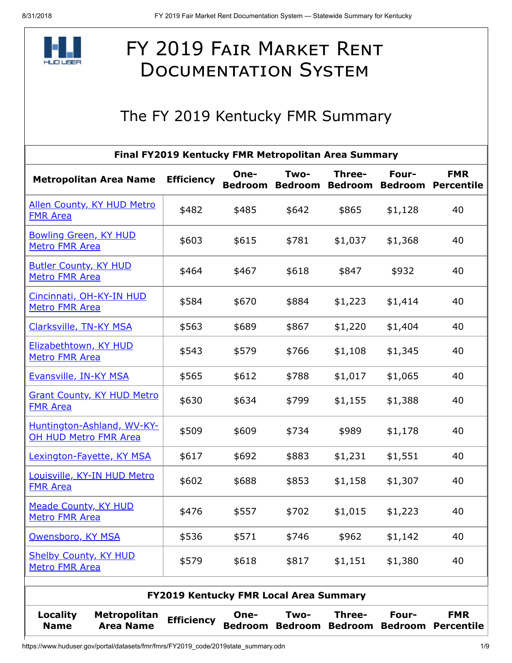

## FY 2019 FAIR MARKET RENT **DOCUMENTATION SYSTEM**

## The FY 2019 Kentucky FMR Summary

| Final FY2019 Kentucky FMR Metropolitan Area Summary        |                                  |                                               |                        |                        |                                  |                         |                                 |  |  |  |
|------------------------------------------------------------|----------------------------------|-----------------------------------------------|------------------------|------------------------|----------------------------------|-------------------------|---------------------------------|--|--|--|
| <b>Metropolitan Area Name</b>                              |                                  | <b>Efficiency</b>                             | One-<br><b>Bedroom</b> | Two-                   | Three-<br><b>Bedroom Bedroom</b> | Four-<br><b>Bedroom</b> | <b>FMR</b><br><b>Percentile</b> |  |  |  |
| <b>Allen County, KY HUD Metro</b><br><b>FMR Area</b>       |                                  | \$482                                         | \$485                  | \$642                  | \$865                            | \$1,128                 | 40                              |  |  |  |
| <b>Bowling Green, KY HUD</b><br>Metro FMR Area             |                                  | \$603                                         | \$615                  | \$781                  | \$1,037                          | \$1,368                 | 40                              |  |  |  |
| <b>Butler County, KY HUD</b><br>Metro FMR Area             |                                  | \$464                                         | \$467                  | \$618                  | \$847                            | \$932                   | 40                              |  |  |  |
| Cincinnati, OH-KY-IN HUD<br>Metro FMR Area                 |                                  | \$584                                         | \$670                  | \$884                  | \$1,223                          | \$1,414                 | 40                              |  |  |  |
| <b>Clarksville, TN-KY MSA</b>                              |                                  | \$563                                         | \$689                  | \$867                  | \$1,220                          | \$1,404                 | 40                              |  |  |  |
| Elizabethtown, KY HUD<br>Metro FMR Area                    |                                  | \$543                                         | \$579                  | \$766                  | \$1,108                          | \$1,345                 | 40                              |  |  |  |
| Evansville, IN-KY MSA                                      |                                  | \$565                                         | \$612                  | \$788                  | \$1,017                          | \$1,065                 | 40                              |  |  |  |
| <b>Grant County, KY HUD Metro</b><br><b>FMR Area</b>       |                                  | \$630                                         | \$634                  | \$799                  | \$1,155                          | \$1,388                 | 40                              |  |  |  |
| Huntington-Ashland, WV-KY-<br><b>OH HUD Metro FMR Area</b> |                                  | \$509                                         | \$609                  | \$734                  | \$989                            | \$1,178                 | 40                              |  |  |  |
| <b>Lexington-Fayette, KY MSA</b>                           |                                  | \$617                                         | \$692                  | \$883                  | \$1,231                          | \$1,551                 | 40                              |  |  |  |
| Louisville, KY-IN HUD Metro<br><b>FMR Area</b>             |                                  | \$602                                         | \$688                  | \$853                  | \$1,158                          | \$1,307                 | 40                              |  |  |  |
| <b>Meade County, KY HUD</b><br><b>Metro FMR Area</b>       |                                  | \$476                                         | \$557                  | \$702                  | \$1,015                          | \$1,223                 | 40                              |  |  |  |
| Owensboro, KY MSA                                          |                                  | \$536                                         | \$571                  | \$746                  | \$962                            | \$1,142                 | 40                              |  |  |  |
| <b>Shelby County, KY HUD</b><br>Metro FMR Area             |                                  | \$579                                         | \$618                  | \$817                  | \$1,151                          | \$1,380                 | 40                              |  |  |  |
|                                                            |                                  | <b>FY2019 Kentucky FMR Local Area Summary</b> |                        |                        |                                  |                         |                                 |  |  |  |
| Locality<br><b>Name</b>                                    | Metropolitan<br><b>Area Name</b> | <b>Efficiency</b>                             | One-<br><b>Bedroom</b> | Two-<br><b>Bedroom</b> | Three-<br><b>Bedroom</b>         | Four-<br><b>Bedroom</b> | <b>FMR</b><br><b>Percentile</b> |  |  |  |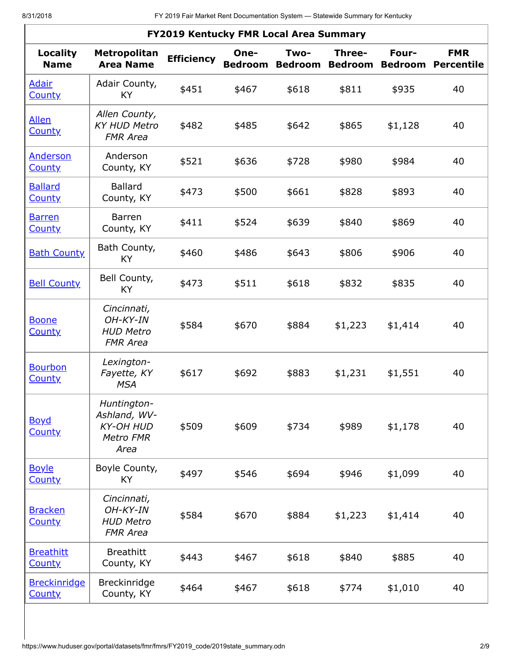| FY2019 Kentucky FMR Local Area Summary |                                                                      |                   |                        |                        |                          |                         |                                 |  |  |  |
|----------------------------------------|----------------------------------------------------------------------|-------------------|------------------------|------------------------|--------------------------|-------------------------|---------------------------------|--|--|--|
| <b>Locality</b><br><b>Name</b>         | <b>Metropolitan</b><br><b>Area Name</b>                              | <b>Efficiency</b> | One-<br><b>Bedroom</b> | Two-<br><b>Bedroom</b> | Three-<br><b>Bedroom</b> | Four-<br><b>Bedroom</b> | <b>FMR</b><br><b>Percentile</b> |  |  |  |
| <b>Adair</b><br><b>County</b>          | Adair County,<br>KY                                                  | \$451             | \$467                  | \$618                  | \$811                    | \$935                   | 40                              |  |  |  |
| <b>Allen</b><br><b>County</b>          | Allen County,<br><b>KY HUD Metro</b><br><b>FMR Area</b>              | \$482             | \$485                  | \$642                  | \$865                    | \$1,128                 | 40                              |  |  |  |
| <b>Anderson</b><br><b>County</b>       | Anderson<br>County, KY                                               | \$521             | \$636                  | \$728                  | \$980                    | \$984                   | 40                              |  |  |  |
| <b>Ballard</b><br><b>County</b>        | <b>Ballard</b><br>County, KY                                         | \$473             | \$500                  | \$661                  | \$828                    | \$893                   | 40                              |  |  |  |
| <b>Barren</b><br><b>County</b>         | Barren<br>County, KY                                                 | \$411             | \$524                  | \$639                  | \$840                    | \$869                   | 40                              |  |  |  |
| <b>Bath County</b>                     | Bath County,<br>KY.                                                  | \$460             | \$486                  | \$643                  | \$806                    | \$906                   | 40                              |  |  |  |
| <b>Bell County</b>                     | Bell County,<br>KY                                                   | \$473             | \$511                  | \$618                  | \$832                    | \$835                   | 40                              |  |  |  |
| <b>Boone</b><br><b>County</b>          | Cincinnati,<br>$OH-KY-IN$<br><b>HUD Metro</b><br><b>FMR Area</b>     | \$584             | \$670                  | \$884                  | \$1,223                  | \$1,414                 | 40                              |  |  |  |
| <b>Bourbon</b><br><b>County</b>        | Lexington-<br>Fayette, KY<br><b>MSA</b>                              | \$617             | \$692                  | \$883                  | \$1,231                  | \$1,551                 | 40                              |  |  |  |
| <b>Boyd</b><br><b>County</b>           | Huntington-<br>Ashland, WV-<br><b>KY-OH HUD</b><br>Metro FMR<br>Area | \$509             | \$609                  | \$734                  | \$989                    | \$1,178                 | 40                              |  |  |  |
| <b>Boyle</b><br><b>County</b>          | Boyle County,<br>KY                                                  | \$497             | \$546                  | \$694                  | \$946                    | \$1,099                 | 40                              |  |  |  |
| <b>Bracken</b><br><b>County</b>        | Cincinnati,<br>OH-KY-IN<br><b>HUD Metro</b><br><b>FMR Area</b>       | \$584             | \$670                  | \$884                  | \$1,223                  | \$1,414                 | 40                              |  |  |  |
| <b>Breathitt</b><br><b>County</b>      | <b>Breathitt</b><br>County, KY                                       | \$443             | \$467                  | \$618                  | \$840                    | \$885                   | 40                              |  |  |  |
| <b>Breckinridge</b><br><b>County</b>   | Breckinridge<br>County, KY                                           | \$464             | \$467                  | \$618                  | \$774                    | \$1,010                 | 40                              |  |  |  |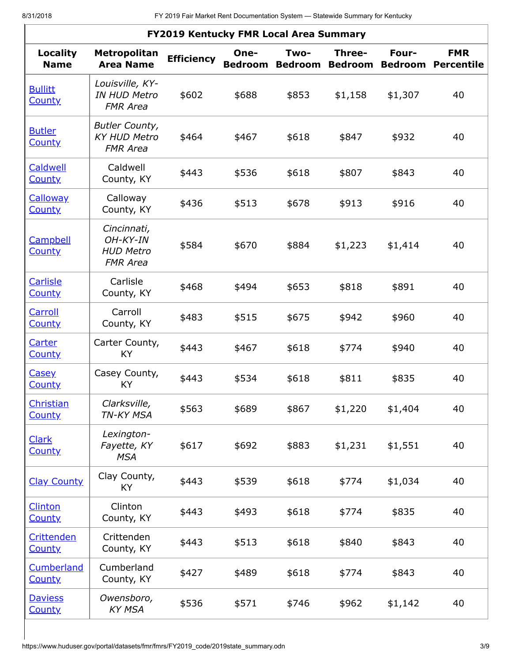r

| FY2019 Kentucky FMR Local Area Summary |                                                                  |                   |                        |                        |                          |                         |                                 |  |  |  |
|----------------------------------------|------------------------------------------------------------------|-------------------|------------------------|------------------------|--------------------------|-------------------------|---------------------------------|--|--|--|
| <b>Locality</b><br><b>Name</b>         | <b>Metropolitan</b><br><b>Area Name</b>                          | <b>Efficiency</b> | One-<br><b>Bedroom</b> | Two-<br><b>Bedroom</b> | Three-<br><b>Bedroom</b> | Four-<br><b>Bedroom</b> | <b>FMR</b><br><b>Percentile</b> |  |  |  |
| <b>Bullitt</b><br><b>County</b>        | Louisville, KY-<br><b>IN HUD Metro</b><br><b>FMR Area</b>        | \$602             | \$688                  | \$853                  | \$1,158                  | \$1,307                 | 40                              |  |  |  |
| <b>Butler</b><br><b>County</b>         | <b>Butler County,</b><br><b>KY HUD Metro</b><br><b>FMR Area</b>  | \$464             | \$467                  | \$618                  | \$847                    | \$932                   | 40                              |  |  |  |
| Caldwell<br><b>County</b>              | Caldwell<br>County, KY                                           | \$443             | \$536                  | \$618                  | \$807                    | \$843                   | 40                              |  |  |  |
| <b>Calloway</b><br><b>County</b>       | Calloway<br>County, KY                                           | \$436             | \$513                  | \$678                  | \$913                    | \$916                   | 40                              |  |  |  |
| Campbell<br><b>County</b>              | Cincinnati,<br>$OH-KY-IN$<br><b>HUD Metro</b><br><b>FMR Area</b> | \$584             | \$670                  | \$884                  | \$1,223                  | \$1,414                 | 40                              |  |  |  |
| <b>Carlisle</b><br><b>County</b>       | Carlisle<br>County, KY                                           | \$468             | \$494                  | \$653                  | \$818                    | \$891                   | 40                              |  |  |  |
| Carroll<br><b>County</b>               | Carroll<br>County, KY                                            | \$483             | \$515                  | \$675                  | \$942                    | \$960                   | 40                              |  |  |  |
| Carter<br><b>County</b>                | Carter County,<br>KY                                             | \$443             | \$467                  | \$618                  | \$774                    | \$940                   | 40                              |  |  |  |
| <b>Casey</b><br><b>County</b>          | Casey County,<br><b>KY</b>                                       | \$443             | \$534                  | \$618                  | \$811                    | \$835                   | 40                              |  |  |  |
| Christian<br>County                    | Clarksville,<br>TN-KY MSA                                        | \$563             | \$689                  | \$867                  | \$1,220                  | \$1,404                 | 40                              |  |  |  |
| <b>Clark</b><br><b>County</b>          | Lexington-<br>Fayette, KY<br><b>MSA</b>                          | \$617             | \$692                  | \$883                  | \$1,231                  | \$1,551                 | 40                              |  |  |  |
| <b>Clay County</b>                     | Clay County,<br>KY.                                              | \$443             | \$539                  | \$618                  | \$774                    | \$1,034                 | 40                              |  |  |  |
| Clinton<br><b>County</b>               | Clinton<br>County, KY                                            | \$443             | \$493                  | \$618                  | \$774                    | \$835                   | 40                              |  |  |  |
| <b>Crittenden</b><br><b>County</b>     | Crittenden<br>County, KY                                         | \$443             | \$513                  | \$618                  | \$840                    | \$843                   | 40                              |  |  |  |
| Cumberland<br><b>County</b>            | Cumberland<br>County, KY                                         | \$427             | \$489                  | \$618                  | \$774                    | \$843                   | 40                              |  |  |  |
| <b>Daviess</b><br><b>County</b>        | Owensboro,<br><b>KY MSA</b>                                      | \$536             | \$571                  | \$746                  | \$962                    | \$1,142                 | 40                              |  |  |  |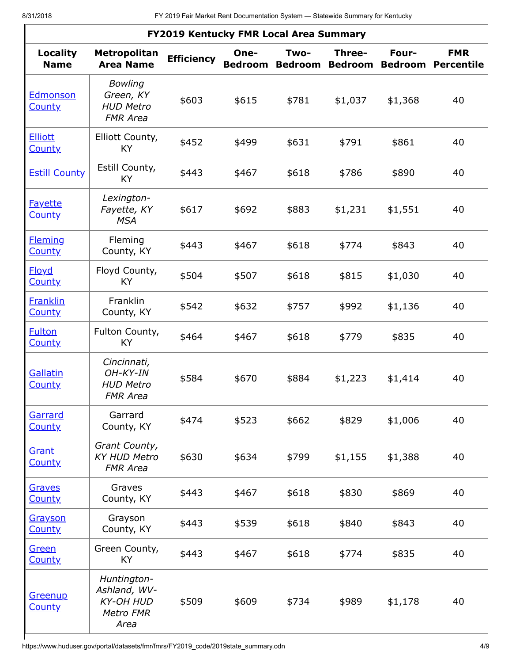| FY2019 Kentucky FMR Local Area Summary |                                                                      |                   |                        |                        |                          |                         |                                 |  |  |  |
|----------------------------------------|----------------------------------------------------------------------|-------------------|------------------------|------------------------|--------------------------|-------------------------|---------------------------------|--|--|--|
| <b>Locality</b><br><b>Name</b>         | Metropolitan<br><b>Area Name</b>                                     | <b>Efficiency</b> | One-<br><b>Bedroom</b> | Two-<br><b>Bedroom</b> | Three-<br><b>Bedroom</b> | Four-<br><b>Bedroom</b> | <b>FMR</b><br><b>Percentile</b> |  |  |  |
| Edmonson<br><b>County</b>              | <b>Bowling</b><br>Green, KY<br><b>HUD Metro</b><br><b>FMR Area</b>   | \$603             | \$615                  | \$781                  | \$1,037                  | \$1,368                 | 40                              |  |  |  |
| <b>Elliott</b><br><b>County</b>        | Elliott County,<br>KY.                                               | \$452             | \$499                  | \$631                  | \$791                    | \$861                   | 40                              |  |  |  |
| <b>Estill County</b>                   | Estill County,<br>KY.                                                | \$443             | \$467                  | \$618                  | \$786                    | \$890                   | 40                              |  |  |  |
| <b>Fayette</b><br><b>County</b>        | Lexington-<br>Fayette, KY<br><b>MSA</b>                              | \$617             | \$692                  | \$883                  | \$1,231                  | \$1,551                 | 40                              |  |  |  |
| <b>Fleming</b><br><b>County</b>        | Fleming<br>County, KY                                                | \$443             | \$467                  | \$618                  | \$774                    | \$843                   | 40                              |  |  |  |
| <b>Floyd</b><br><b>County</b>          | Floyd County,<br><b>KY</b>                                           | \$504             | \$507                  | \$618                  | \$815                    | \$1,030                 | 40                              |  |  |  |
| <b>Franklin</b><br><b>County</b>       | Franklin<br>County, KY                                               | \$542             | \$632                  | \$757                  | \$992                    | \$1,136                 | 40                              |  |  |  |
| <b>Fulton</b><br><b>County</b>         | Fulton County,<br><b>KY</b>                                          | \$464             | \$467                  | \$618                  | \$779                    | \$835                   | 40                              |  |  |  |
| Gallatin<br><b>County</b>              | Cincinnati,<br>$OH-KY-IN$<br><b>HUD Metro</b><br><b>FMR Area</b>     | \$584             | \$670                  | \$884                  | \$1,223                  | \$1,414                 | 40                              |  |  |  |
| Garrard<br><b>County</b>               | Garrard<br>County, KY                                                | \$474             | \$523                  | \$662                  | \$829                    | \$1,006                 | 40                              |  |  |  |
| Grant<br><b>County</b>                 | Grant County,<br><b>KY HUD Metro</b><br><b>FMR Area</b>              | \$630             | \$634                  | \$799                  | \$1,155                  | \$1,388                 | 40                              |  |  |  |
| Graves<br><b>County</b>                | Graves<br>County, KY                                                 | \$443             | \$467                  | \$618                  | \$830                    | \$869                   | 40                              |  |  |  |
| <u>Grayson</u><br><b>County</b>        | Grayson<br>County, KY                                                | \$443             | \$539                  | \$618                  | \$840                    | \$843                   | 40                              |  |  |  |
| Green<br><b>County</b>                 | Green County,<br>KY.                                                 | \$443             | \$467                  | \$618                  | \$774                    | \$835                   | 40                              |  |  |  |
| Greenup<br><b>County</b>               | Huntington-<br>Ashland, WV-<br><b>KY-OH HUD</b><br>Metro FMR<br>Area | \$509             | \$609                  | \$734                  | \$989                    | \$1,178                 | 40                              |  |  |  |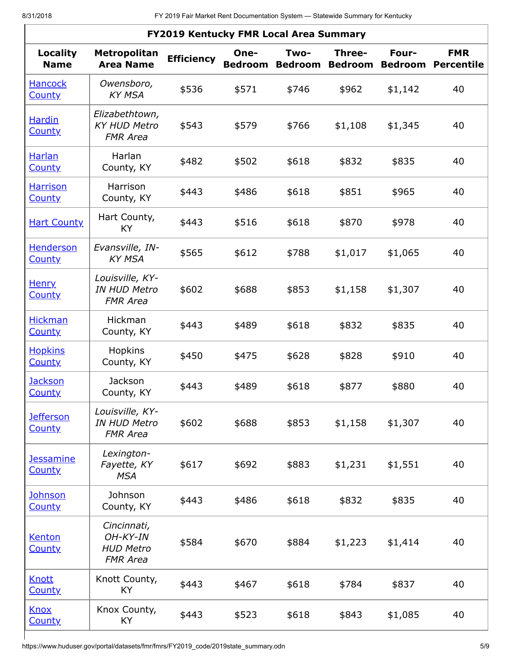| <b>FY2019 Kentucky FMR Local Area Summary</b> |                                                                |                   |                        |                        |                          |                         |                                 |  |  |
|-----------------------------------------------|----------------------------------------------------------------|-------------------|------------------------|------------------------|--------------------------|-------------------------|---------------------------------|--|--|
| Locality<br><b>Name</b>                       | Metropolitan<br><b>Area Name</b>                               | <b>Efficiency</b> | One-<br><b>Bedroom</b> | Two-<br><b>Bedroom</b> | Three-<br><b>Bedroom</b> | Four-<br><b>Bedroom</b> | <b>FMR</b><br><b>Percentile</b> |  |  |
| <b>Hancock</b><br><b>County</b>               | Owensboro,<br><b>KY MSA</b>                                    | \$536             | \$571                  | \$746                  | \$962                    | \$1,142                 | 40                              |  |  |
| <b>Hardin</b><br><b>County</b>                | Elizabethtown,<br><b>KY HUD Metro</b><br><b>FMR Area</b>       | \$543             | \$579                  | \$766                  | \$1,108                  | \$1,345                 | 40                              |  |  |
| <b>Harlan</b><br><b>County</b>                | Harlan<br>County, KY                                           | \$482             | \$502                  | \$618                  | \$832                    | \$835                   | 40                              |  |  |
| <b>Harrison</b><br><b>County</b>              | Harrison<br>County, KY                                         | \$443             | \$486                  | \$618                  | \$851                    | \$965                   | 40                              |  |  |
| <b>Hart County</b>                            | Hart County,<br>KY.                                            | \$443             | \$516                  | \$618                  | \$870                    | \$978                   | 40                              |  |  |
| <b>Henderson</b><br><b>County</b>             | Evansville, IN-<br><b>KY MSA</b>                               | \$565             | \$612                  | \$788                  | \$1,017                  | \$1,065                 | 40                              |  |  |
| <u>Henry</u><br><b>County</b>                 | Louisville, KY-<br><b>IN HUD Metro</b><br><b>FMR Area</b>      | \$602             | \$688                  | \$853                  | \$1,158                  | \$1,307                 | 40                              |  |  |
| <b>Hickman</b><br><b>County</b>               | Hickman<br>County, KY                                          | \$443             | \$489                  | \$618                  | \$832                    | \$835                   | 40                              |  |  |
| <b>Hopkins</b><br><b>County</b>               | Hopkins<br>County, KY                                          | \$450             | \$475                  | \$628                  | \$828                    | \$910                   | 40                              |  |  |
| <u>Jackson</u><br><b>County</b>               | Jackson<br>County, KY                                          | \$443             | \$489                  | \$618                  | \$877                    | \$880                   | 40                              |  |  |
| <b>Jefferson</b><br><b>County</b>             | Louisville, KY-<br><b>IN HUD Metro</b><br><b>FMR Area</b>      | \$602             | \$688                  | \$853                  | \$1,158                  | \$1,307                 | 40                              |  |  |
| <b>Jessamine</b><br><b>County</b>             | Lexington-<br>Fayette, KY<br><b>MSA</b>                        | \$617             | \$692                  | \$883                  | \$1,231                  | \$1,551                 | 40                              |  |  |
| <b>Johnson</b><br><b>County</b>               | Johnson<br>County, KY                                          | \$443             | \$486                  | \$618                  | \$832                    | \$835                   | 40                              |  |  |
| Kenton<br><b>County</b>                       | Cincinnati,<br>OH-KY-IN<br><b>HUD Metro</b><br><b>FMR Area</b> | \$584             | \$670                  | \$884                  | \$1,223                  | \$1,414                 | 40                              |  |  |
| <b>Knott</b><br><b>County</b>                 | Knott County,<br>KY                                            | \$443             | \$467                  | \$618                  | \$784                    | \$837                   | 40                              |  |  |
| <b>Knox</b><br><b>County</b>                  | Knox County,<br>KY                                             | \$443             | \$523                  | \$618                  | \$843                    | \$1,085                 | 40                              |  |  |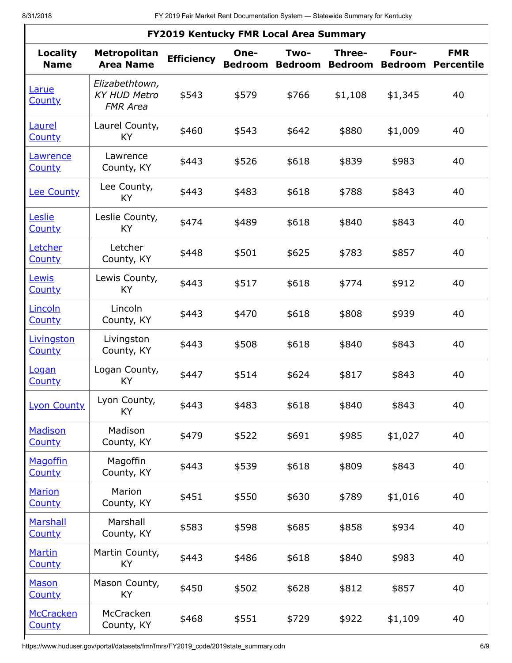| <b>FY2019 Kentucky FMR Local Area Summary</b> |                                                          |                   |                        |                        |                          |                         |                                 |  |  |
|-----------------------------------------------|----------------------------------------------------------|-------------------|------------------------|------------------------|--------------------------|-------------------------|---------------------------------|--|--|
| <b>Locality</b><br><b>Name</b>                | <b>Metropolitan</b><br><b>Area Name</b>                  | <b>Efficiency</b> | One-<br><b>Bedroom</b> | Two-<br><b>Bedroom</b> | Three-<br><b>Bedroom</b> | Four-<br><b>Bedroom</b> | <b>FMR</b><br><b>Percentile</b> |  |  |
| Larue<br><b>County</b>                        | Elizabethtown,<br><b>KY HUD Metro</b><br><b>FMR Area</b> | \$543             | \$579                  | \$766                  | \$1,108                  | \$1,345                 | 40                              |  |  |
| <b>Laurel</b><br><b>County</b>                | Laurel County,<br>KY                                     | \$460             | \$543                  | \$642                  | \$880                    | \$1,009                 | 40                              |  |  |
| Lawrence<br><b>County</b>                     | Lawrence<br>County, KY                                   | \$443             | \$526                  | \$618                  | \$839                    | \$983                   | 40                              |  |  |
| <b>Lee County</b>                             | Lee County,<br>KY                                        | \$443             | \$483                  | \$618                  | \$788                    | \$843                   | 40                              |  |  |
| <u>Leslie</u><br><b>County</b>                | Leslie County,<br>KY                                     | \$474             | \$489                  | \$618                  | \$840                    | \$843                   | 40                              |  |  |
| Letcher<br><b>County</b>                      | Letcher<br>County, KY                                    | \$448             | \$501                  | \$625                  | \$783                    | \$857                   | 40                              |  |  |
| Lewis<br><b>County</b>                        | Lewis County,<br>KY                                      | \$443             | \$517                  | \$618                  | \$774                    | \$912                   | 40                              |  |  |
| Lincoln<br><b>County</b>                      | Lincoln<br>County, KY                                    | \$443             | \$470                  | \$618                  | \$808                    | \$939                   | 40                              |  |  |
| Livingston<br><b>County</b>                   | Livingston<br>County, KY                                 | \$443             | \$508                  | \$618                  | \$840                    | \$843                   | 40                              |  |  |
| <u>Logan</u><br><b>County</b>                 | Logan County,<br>KY                                      | \$447             | \$514                  | \$624                  | \$817                    | \$843                   | 40                              |  |  |
| <b>Lyon County</b>                            | Lyon County,<br>KY                                       | \$443             | \$483                  | \$618                  | \$840                    | \$843                   | 40                              |  |  |
| <b>Madison</b><br><b>County</b>               | Madison<br>County, KY                                    | \$479             | \$522                  | \$691                  | \$985                    | \$1,027                 | 40                              |  |  |
| <b>Magoffin</b><br><b>County</b>              | Magoffin<br>County, KY                                   | \$443             | \$539                  | \$618                  | \$809                    | \$843                   | 40                              |  |  |
| <b>Marion</b><br><b>County</b>                | Marion<br>County, KY                                     | \$451             | \$550                  | \$630                  | \$789                    | \$1,016                 | 40                              |  |  |
| <b>Marshall</b><br><b>County</b>              | Marshall<br>County, KY                                   | \$583             | \$598                  | \$685                  | \$858                    | \$934                   | 40                              |  |  |
| <b>Martin</b><br><b>County</b>                | Martin County,<br>KY                                     | \$443             | \$486                  | \$618                  | \$840                    | \$983                   | 40                              |  |  |
| <b>Mason</b><br><b>County</b>                 | Mason County,<br>KY                                      | \$450             | \$502                  | \$628                  | \$812                    | \$857                   | 40                              |  |  |
| McCracken<br><b>County</b>                    | McCracken<br>County, KY                                  | \$468             | \$551                  | \$729                  | \$922                    | \$1,109                 | 40                              |  |  |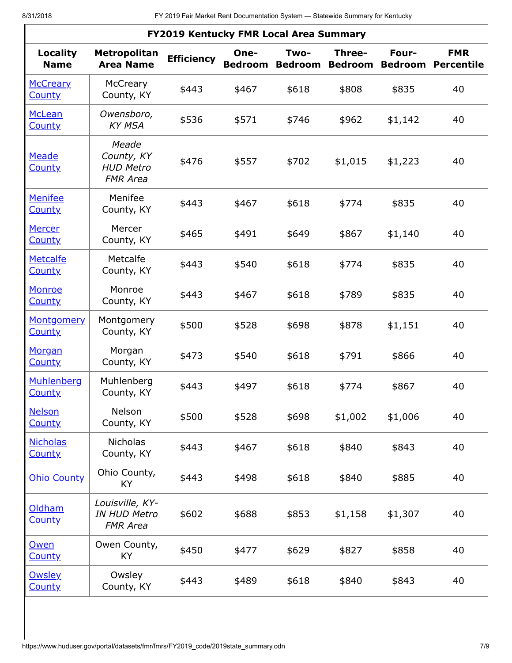| <b>FY2019 Kentucky FMR Local Area Summary</b> |                                                            |                   |                        |       |                                  |                         |                                 |  |  |  |
|-----------------------------------------------|------------------------------------------------------------|-------------------|------------------------|-------|----------------------------------|-------------------------|---------------------------------|--|--|--|
| <b>Locality</b><br><b>Name</b>                | Metropolitan<br><b>Area Name</b>                           | <b>Efficiency</b> | One-<br><b>Bedroom</b> | Two-  | Three-<br><b>Bedroom Bedroom</b> | Four-<br><b>Bedroom</b> | <b>FMR</b><br><b>Percentile</b> |  |  |  |
| <b>McCreary</b><br><b>County</b>              | McCreary<br>County, KY                                     | \$443             | \$467                  | \$618 | \$808                            | \$835                   | 40                              |  |  |  |
| <b>McLean</b><br><b>County</b>                | Owensboro,<br><b>KY MSA</b>                                | \$536             | \$571                  | \$746 | \$962                            | \$1,142                 | 40                              |  |  |  |
| Meade<br><b>County</b>                        | Meade<br>County, KY<br><b>HUD Metro</b><br><b>FMR Area</b> | \$476             | \$557                  | \$702 | \$1,015                          | \$1,223                 | 40                              |  |  |  |
| <b>Menifee</b><br><b>County</b>               | Menifee<br>County, KY                                      | \$443             | \$467                  | \$618 | \$774                            | \$835                   | 40                              |  |  |  |
| <b>Mercer</b><br><b>County</b>                | Mercer<br>County, KY                                       | \$465             | \$491                  | \$649 | \$867                            | \$1,140                 | 40                              |  |  |  |
| <b>Metcalfe</b><br><b>County</b>              | Metcalfe<br>County, KY                                     | \$443             | \$540                  | \$618 | \$774                            | \$835                   | 40                              |  |  |  |
| Monroe<br><b>County</b>                       | Monroe<br>County, KY                                       | \$443             | \$467                  | \$618 | \$789                            | \$835                   | 40                              |  |  |  |
| <b>Montgomery</b><br><b>County</b>            | Montgomery<br>County, KY                                   | \$500             | \$528                  | \$698 | \$878                            | \$1,151                 | 40                              |  |  |  |
| Morgan<br><b>County</b>                       | Morgan<br>County, KY                                       | \$473             | \$540                  | \$618 | \$791                            | \$866                   | 40                              |  |  |  |
| Muhlenberg<br><b>County</b>                   | Muhlenberg<br>County, KY                                   | \$443             | \$497                  | \$618 | \$774                            | \$867                   | 40                              |  |  |  |
| <b>Nelson</b><br><b>County</b>                | Nelson<br>County, KY                                       | \$500             | \$528                  | \$698 | \$1,002                          | \$1,006                 | 40                              |  |  |  |
| <b>Nicholas</b><br><b>County</b>              | <b>Nicholas</b><br>County, KY                              | \$443             | \$467                  | \$618 | \$840                            | \$843                   | 40                              |  |  |  |
| <b>Ohio County</b>                            | Ohio County,<br>KY                                         | \$443             | \$498                  | \$618 | \$840                            | \$885                   | 40                              |  |  |  |
| <b>Oldham</b><br><b>County</b>                | Louisville, KY-<br><b>IN HUD Metro</b><br><b>FMR Area</b>  | \$602             | \$688                  | \$853 | \$1,158                          | \$1,307                 | 40                              |  |  |  |
| Owen<br><b>County</b>                         | Owen County,<br>KY                                         | \$450             | \$477                  | \$629 | \$827                            | \$858                   | 40                              |  |  |  |
| <b>Owsley</b><br><b>County</b>                | Owsley<br>County, KY                                       | \$443             | \$489                  | \$618 | \$840                            | \$843                   | 40                              |  |  |  |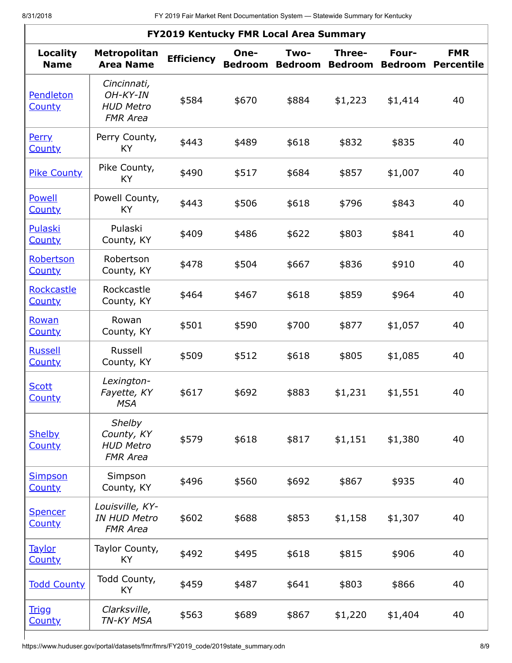| FY2019 Kentucky FMR Local Area Summary |                                                                  |                   |                        |                        |                          |                         |                                 |  |  |  |
|----------------------------------------|------------------------------------------------------------------|-------------------|------------------------|------------------------|--------------------------|-------------------------|---------------------------------|--|--|--|
| <b>Locality</b><br><b>Name</b>         | <b>Metropolitan</b><br><b>Area Name</b>                          | <b>Efficiency</b> | One-<br><b>Bedroom</b> | Two-<br><b>Bedroom</b> | Three-<br><b>Bedroom</b> | Four-<br><b>Bedroom</b> | <b>FMR</b><br><b>Percentile</b> |  |  |  |
| Pendleton<br><b>County</b>             | Cincinnati,<br>$OH-KY-IN$<br><b>HUD Metro</b><br><b>FMR Area</b> | \$584             | \$670                  | \$884                  | \$1,223                  | \$1,414                 | 40                              |  |  |  |
| <b>Perry</b><br><b>County</b>          | Perry County,<br>KY                                              | \$443             | \$489                  | \$618                  | \$832                    | \$835                   | 40                              |  |  |  |
| <b>Pike County</b>                     | Pike County,<br>KY                                               | \$490             | \$517                  | \$684                  | \$857                    | \$1,007                 | 40                              |  |  |  |
| Powell<br><b>County</b>                | Powell County,<br>KY                                             | \$443             | \$506                  | \$618                  | \$796                    | \$843                   | 40                              |  |  |  |
| Pulaski<br><b>County</b>               | Pulaski<br>County, KY                                            | \$409             | \$486                  | \$622                  | \$803                    | \$841                   | 40                              |  |  |  |
| Robertson<br><b>County</b>             | Robertson<br>County, KY                                          | \$478             | \$504                  | \$667                  | \$836                    | \$910                   | 40                              |  |  |  |
| Rockcastle<br><b>County</b>            | Rockcastle<br>County, KY                                         | \$464             | \$467                  | \$618                  | \$859                    | \$964                   | 40                              |  |  |  |
| Rowan<br><b>County</b>                 | Rowan<br>County, KY                                              | \$501             | \$590                  | \$700                  | \$877                    | \$1,057                 | 40                              |  |  |  |
| <b>Russell</b><br><b>County</b>        | Russell<br>County, KY                                            | \$509             | \$512                  | \$618                  | \$805                    | \$1,085                 | 40                              |  |  |  |
| <b>Scott</b><br><b>County</b>          | Lexington-<br>Fayette, KY<br><b>MSA</b>                          | \$617             | \$692                  | \$883                  | \$1,231                  | \$1,551                 | 40                              |  |  |  |
| <b>Shelby</b><br><b>County</b>         | Shelby<br>County, KY<br><b>HUD Metro</b><br><b>FMR Area</b>      | \$579             | \$618                  | \$817                  | \$1,151                  | \$1,380                 | 40                              |  |  |  |
| <b>Simpson</b><br><b>County</b>        | Simpson<br>County, KY                                            | \$496             | \$560                  | \$692                  | \$867                    | \$935                   | 40                              |  |  |  |
| <b>Spencer</b><br><b>County</b>        | Louisville, KY-<br><b>IN HUD Metro</b><br><b>FMR Area</b>        | \$602             | \$688                  | \$853                  | \$1,158                  | \$1,307                 | 40                              |  |  |  |
| <b>Taylor</b><br><b>County</b>         | Taylor County,<br>KY                                             | \$492             | \$495                  | \$618                  | \$815                    | \$906                   | 40                              |  |  |  |
| <b>Todd County</b>                     | Todd County,<br>KY                                               | \$459             | \$487                  | \$641                  | \$803                    | \$866                   | 40                              |  |  |  |
| <u>Trigg</u><br><b>County</b>          | Clarksville,<br>TN-KY MSA                                        | \$563             | \$689                  | \$867                  | \$1,220                  | \$1,404                 | 40                              |  |  |  |